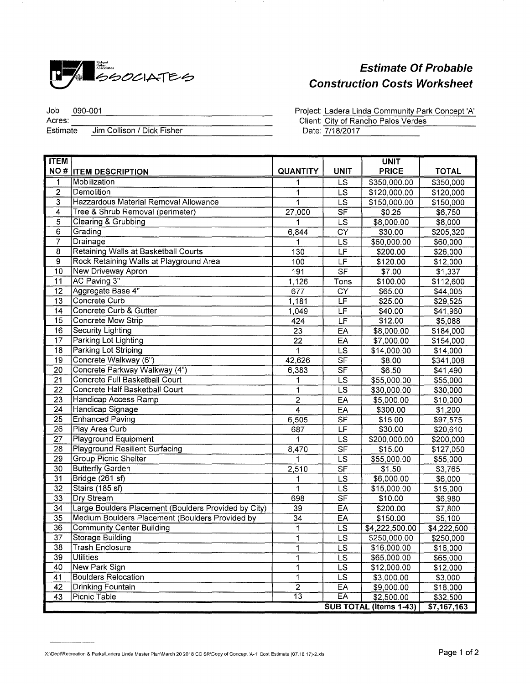

## **Estimate Of Probable Construction Costs Worksheet**

Job 090-001 Acres: Vertal<br>Estimate Jim Collison / Dick Fisher Project: Ladera Linda Community Park Concept 'A' Client: City of Rancho Palos Verdes Date: 7/18/2017

| <b>TTEM</b>     |                                                      |                 |                          | <b>UNIT</b>            |              |
|-----------------|------------------------------------------------------|-----------------|--------------------------|------------------------|--------------|
|                 | <b>NO # ITEM DESCRIPTION</b>                         | <b>QUANTITY</b> | <b>UNIT</b>              | <b>PRICE</b>           | <b>TOTAL</b> |
| 1               | Mobilization                                         | 1               | $\overline{\mathsf{LS}}$ | \$350,000.00           | \$350,000    |
| $\overline{2}$  | Demolition                                           | 1               | <b>LS</b>                | \$120,000.00           | \$120,000    |
| 3               | Hazzardous Material Removal Allowance                | 1               | <b>LS</b>                | \$150,000.00           | \$150,000    |
| 4               | Tree & Shrub Removal (perimeter)                     | 27,000          | $\overline{\mathsf{SF}}$ | \$0.25                 | \$6,750      |
| $\overline{5}$  | Clearing & Grubbing                                  | 1               | <b>LS</b>                | \$8,000.00             | \$8,000      |
| 6               | Grading                                              | 6,844           | CY                       | \$30.00                | \$205,320    |
| $\overline{7}$  | Drainage                                             |                 | $\overline{\text{LS}}$   | \$60,000.00            | \$60,000     |
| $\overline{8}$  | <b>Retaining Walls at Basketball Courts</b>          | 130             | E                        | \$200.00               | \$26,000     |
| $\overline{9}$  | Rock Retaining Walls at Playground Area              | 100             | $\overline{\mathsf{LF}}$ | \$120.00               | \$12,000     |
| 10              | New Driveway Apron                                   | 191             | <b>SF</b>                | \$7.00                 | \$1,337      |
| $\overline{11}$ | AC Paving 3"                                         | 1,126           | Tons                     | \$100.00               | \$112,600    |
| $\overline{12}$ | Aggregate Base 4"                                    | 677             | CY                       | \$65.00                | \$44,005     |
| 13              | Concrete Curb                                        | 1,181           | LF                       | \$25.00                | \$29,525     |
| 14              | Concrete Curb & Gutter                               | 1,049           | LF                       | \$40.00                | \$41,960     |
| 15              | Concrete Mow Strip                                   | 424             | LF                       | \$12.00                | \$5,088      |
| 16              | Security Lighting                                    | 23              | EA                       | \$8,000.00             | \$184,000    |
| 17              | Parking Lot Lighting                                 | $\overline{22}$ | EA                       | \$7,000.00             | \$154,000    |
| 18              | Parking Lot Striping                                 | 1               | LS                       | \$14,000.00            | \$14,000     |
| 19              | Concrete Walkway (6")                                | 42,626          | $\overline{\mathsf{SF}}$ | \$8.00                 | \$341,008    |
| 20              | Concrete Parkway Walkway (4")                        | 6,383           | $\overline{\mathsf{SF}}$ | \$6.50                 | \$41,490     |
| 21              | <b>Concrete Full Basketball Court</b>                |                 | LS                       | \$55,000.00            | \$55,000     |
| $\overline{22}$ | Concrete Half Basketball Court                       | 1               | <b>LS</b>                | \$30,000.00            | \$30,000     |
| 23              | <b>Handicap Access Ramp</b>                          | $\overline{2}$  | EA                       | \$5,000.00             | \$10,000     |
| 24              | Handicap Signage                                     | 4               | EA                       | \$300.00               | \$1,200      |
| $\overline{25}$ | <b>Enhanced Paving</b>                               | 6,505           | <b>SF</b>                | \$15.00                | \$97,575     |
| 26              | Play Area Curb                                       | 687             | LF                       | \$30.00                | \$20,610     |
| 27              | <b>Playground Equipment</b>                          |                 | LS                       | \$200,000.00           | \$200,000    |
| 28              | <b>Playground Resilient Surfacing</b>                | 8,470           | $\overline{\mathsf{SF}}$ | \$15.00                | \$127,050    |
| 29              | <b>Group Picnic Shelter</b>                          | 1               | $\overline{\mathsf{LS}}$ | \$55,000.00            | \$55,000     |
| 30              | <b>Butterfly Garden</b>                              | 2,510           | $\overline{\mathsf{SF}}$ | \$1.50                 | \$3,765      |
| 31              | Bridge (261 sf)                                      | 1               | $\overline{\text{LS}}$   | \$6,000.00             | \$6,000      |
| $\overline{32}$ | Stairs (185 sf)                                      | 1               | $\overline{\text{LS}}$   | \$15,000.00            | \$15,000     |
| 33              | Dry Stream                                           | 698             | S <sub>F</sub>           | \$10.00                | \$6,980      |
| 34              | Large Boulders Placement (Boulders Provided by City) | 39              | EA                       | \$200.00               | \$7,800      |
| 35              | Medium Boulders Placement (Boulders Provided by      | 34              | EA                       | \$150.00               | \$5,100      |
| 36              | <b>Community Center Building</b>                     | 1               | LS                       | \$4,222,500.00         | \$4,222,500  |
| $\overline{37}$ | Storage Building                                     | 1               | $\overline{\text{LS}}$   | \$250,000.00           | \$250,000    |
| 38              | <b>Trash Enclosure</b>                               | 1               | LS                       | \$16,000.00            | \$16,000     |
| $\overline{39}$ | <b>Utilities</b>                                     | 1               | <b>LS</b>                | \$65,000.00            | \$65,000     |
| 40              | New Park Sign                                        | 1               | LS                       | \$12,000.00            | \$12,000     |
| 41              | <b>Boulders Relocation</b>                           | 1               | LS                       | \$3,000.00             | \$3,000      |
| 42              | Drinking Fountain                                    | $\overline{2}$  | EA                       | \$9,000.00             | \$18,000     |
| 43              | Picnic Table                                         | $\overline{13}$ | EA                       | \$2,500.00             | \$32,500     |
|                 |                                                      |                 |                          | SUB TOTAL (Items 1-43) | \$7,167,163  |